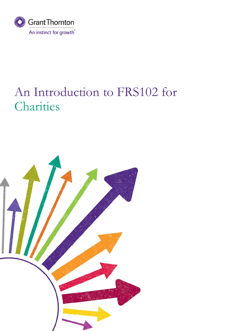

# An Introduction to FRS102 for **Charities**

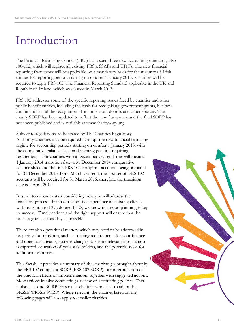# Introduction

The Financial Reporting Council (FRC) has issued three new accounting standards, FRS 100-102, which will replace all existing FRS's, SSAPs and UITFs. The new financial reporting framework will be applicable on a mandatory basis for the majority of Irish entities for reporting periods starting on or after 1 January 2015. Charities will be required to apply FRS 102 'The Financial Reporting Standard applicable in the UK and Republic of Ireland' which was issued in March 2013.

FRS 102 addresses some of the specific reporting issues faced by charities and other public benefit entities, including the basis for recognising government grants, business combinations and the recognition of income from donors and other sources. The charity SORP has been updated to reflect the new framework and the final SORP has now been published and is available at www.charitysorp.org.

Subject to regulations, to be issued by The Charities Regulatory Authority, charities may be required to adopt the new financial reporting regime for accounting periods starting on or after 1 January 2015, with the comparative balance sheet and opening position requiring restatement. For charities with a December year end, this will mean a 1 January 2014 transition date, a 31 December 2014 comparative balance sheet and the first FRS 102 compliant accounts being prepared for 31 December 2015. For a March year end, the first set of FRS 102 accounts will be required for 31 March 2016, therefore the transition date is 1 April 2014

It is not too soon to start considering how you will address the transition process. From our extensive experience in assisting clients with transition to EU-adopted IFRS, we know that good planning is key to success. Timely actions and the right support will ensure that the process goes as smoothly as possible.

There are also operational matters which may need to be addressed in preparing for transition, such as training requirements for your finance and operational teams, systems changes to ensure relevant information is captured, education of your stakeholders, and the potential need for additional resources.

This factsheet provides a summary of the key changes brought about by the FRS 102 compliant SORP (FRS 102 SORP), our interpretation of the practical effects of implementation, together with suggested actions. Most actions involve conducting a review of accounting policies. There is also a second SORP for smaller charities who elect to adopt the FRSSE (FRSSE SORP). Where relevant, the changes listed on the following pages will also apply to smaller charities.

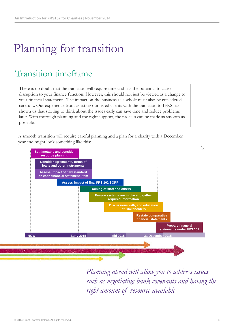# Planning for transition

## Transition timeframe

There is no doubt that the transition will require time and has the potential to cause disruption to your finance function. However, this should not just be viewed as a change to your financial statements. The impact on the business as a whole must also be considered carefully. Our experience from assisting our listed clients with the transition to IFRS has shown us that starting to think about the issues early can save time and reduce problems later. With thorough planning and the right support, the process can be made as smooth as possible.

A smooth transition will require careful planning and a plan for a charity with a December year end might look something like this:



*Planning ahead will allow you to address issues such as negotiating bank covenants and having the right amount of resource available*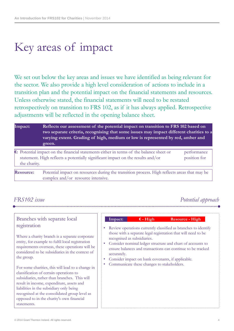# Key areas of impact

We set out below the key areas and issues we have identified as being relevant for the sector. We also provide a high level consideration of actions to include in a transition plan and the potential impact on the financial statements and resources. Unless otherwise stated, the financial statements will need to be restated retrospectively on transition to FRS 102, as if it has always applied. Retrospective adjustments will be reflected in the opening balance sheet.

| Impact:      | Reflects our assessment of the potential impact on transition to FRS 102 based on<br>two separate criteria, recognising that some issues may impact different charities to a<br>varying extent. Grading of high, medium or low is represented by red, amber and |                             |  |  |
|--------------|-----------------------------------------------------------------------------------------------------------------------------------------------------------------------------------------------------------------------------------------------------------------|-----------------------------|--|--|
|              | green.                                                                                                                                                                                                                                                          |                             |  |  |
| the charity. | $\epsilon$ : Potential impact on the financial statements either in terms of the balance sheet or<br>statement. High reflects a potentially significant impact on the results and/or                                                                            | performance<br>position for |  |  |
| Resource:    | Potential impact on resources during the transition process. High reflects areas that may be<br>complex and/or resource intensive.                                                                                                                              |                             |  |  |

## *FRS102 issue Potential approach*

### Branches with separate local registration

Where a charity branch is a separate corporate entity, for example to fulfil local registration requirements overseas, these operations will be considered to be subsidiaries in the context of the group.

For some charities, this will lead to a change in classification of certain operations to subsidiaries, rather than branches. This will result in income, expenditure, assets and liabilities in the subsidiary only being recognised at the consolidated group level as opposed to in the charity's own financial statements.

| Impact:     | $\epsilon$ - High           | <b>Resource - High</b>                                           |
|-------------|-----------------------------|------------------------------------------------------------------|
|             |                             | • Review operations currently classified as branches to identify |
|             |                             | those with a separate legal registration that will need to be    |
|             | recognised as subsidiaries. |                                                                  |
|             |                             | • Consider nominal ledger structure and chart of accounts to     |
|             |                             | ensure balances and transactions can continue to be tracked      |
| accurately. |                             |                                                                  |

- Consider impact on bank covenants, if applicable.
- Communicate these changes to stakeholders.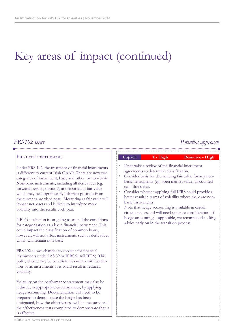### *FRS102 issue*

## *Potential approach*

### Financial instruments

Under FRS 102, the treatment of financial instruments is different to current Irish GAAP. There are now two categories of instrument, basic and other, or non-basic. Non-basic instruments, including all derivatives (eg. forwards, swaps, options), are reported at fair value which may be a significantly different position from the current amortised cost. Measuring at fair value will impact net assets and is likely to introduce more volatility into the results each year.

NB. Consultation is on-going to amend the conditions for categorisation as a basic financial instrument. This could impact the classification of common loans, however, will not affect instruments such as derivatives which will remain non-basic.

FRS 102 allows charities to account for financial instruments under IAS 39 or IFRS 9 (full IFRS). This policy choice may be beneficial to entities with certain non-basic instruments as it could result in reduced volatility.

Volatility on the performance statement may also be reduced, in appropriate circumstances, by applying hedge accounting. Documentation will need to be prepared to demonstrate the hedge has been designated, how the effectiveness will be measured and the effectiveness tests completed to demonstrate that it is effective.

|           | • Undertake a review of the financial instrument       |
|-----------|--------------------------------------------------------|
|           | agreements to determine classification.                |
| $\bullet$ | Consider basis for determining fair value for any non- |
|           | basic instruments (eg. open market value, discounted   |
|           | cash flows etc).                                       |
|           | • Consider whether applying full IFRS could provide a  |
|           |                                                        |

**Impact: € - High Resource - High**

better result in terms of volatility where there are nonbasic instruments. Note that hedge accounting is available in certain

circumstances and will need separate consideration. If hedge accounting is applicable, we recommend seeking advice early on in the transition process.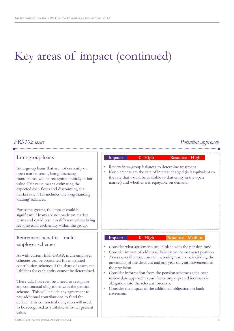### *FRS102 issue Potential approach*

### Intra-group loans

Intra-group loans that are not currently on open market terms, being financing transactions, will be recognised initially at fair value. Fair value means estimating the expected cash flows and discounting at a market rate. This includes any long-standing 'trading' balances.

For some groups, the impact could be significant if loans are not made on market terms and could result in different values being recognised in each entity within the group.

### Retirement benefits – multi employer schemes

As with current Irish GAAP, multi-employer schemes can be accounted for as defined contribution schemes if the share of assets and liabilities for each entity cannot be determined.

There will, however, be a need to recognise any contractual obligations with the pension scheme. This will include any agreement to pay additional contributions to fund the deficit. This contractual obligation will need to be recognised as a liability at its net present value.

| Impact: | $\epsilon$ - High                              | <b>Resource - High</b>                                                                                                                                                                   |  |
|---------|------------------------------------------------|------------------------------------------------------------------------------------------------------------------------------------------------------------------------------------------|--|
|         | market) and whether it is repayable on demand. | Review intra-group balances to determine treatment.<br>Key elements are the rate of interest charged (is it equivalent to<br>the rate that would be available to that entity in the open |  |
|         |                                                |                                                                                                                                                                                          |  |

#### **Impact: € - High Resource - Medium**

- Consider what agreements are in place with the pension fund.
- Consider impact of additional liability on the net asset position.
- Assess overall impact on net incoming resources, including the unwinding of the discount and any year on year movements in the provision.
- Consider information from the pension scheme as the next review date approaches and factor any expected increases in obligation into the relevant forecasts.
- Consider the impact of the additional obligation on bank covenants.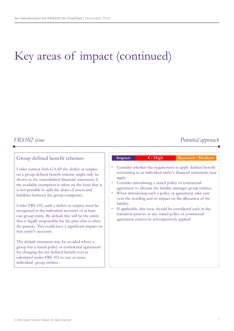### *FRS102 issue Potential approach*

### Group defined benefit schemes

Under current Irish GAAP the deficit or surplus on a group defined benefit scheme might only be shown in the consolidated financial statements if the available exemption is taken on the basis that it is not possible to split the share of assets and liabilities between the group companies.

Under FRS 102, such a deficit or surplus must be recognised in the individual accounts of at least one group entity. By default this will be the entity that is legally responsible for the plan (this is often the parent). This could have a significant impact on that entity's accounts.

The default treatment may be avoided where a group has a stated policy or contractual agreement for charging the net defined benefit cost as calculated under FRS 102 to one or more individual group entities.

|           | Impact:    | $\epsilon$ - High                                                                                      | <b>Resource - Medium</b>                                                                                                   |
|-----------|------------|--------------------------------------------------------------------------------------------------------|----------------------------------------------------------------------------------------------------------------------------|
|           | apply.     |                                                                                                        | Consider whether the requirement to apply defined benefit<br>accounting in an individual entity's financial statements may |
| $\bullet$ |            | Consider introducing a stated policy or contractual                                                    | agreement to allocate the liability amongst group entities.                                                                |
| ۰         | liability. |                                                                                                        | When introducing such a policy or agreement, take care<br>over the wording and its impact on the allocation of the         |
| $\bullet$ |            | transition process as any stated policy or contractual<br>agreement cannot be retrospectively applied. | If applicable, this issue should be considered early in the                                                                |
|           |            |                                                                                                        |                                                                                                                            |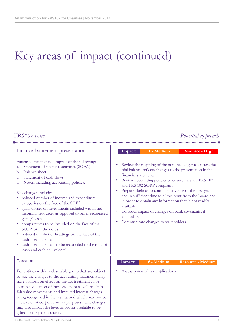## *FRS102 issue Potential approach*

| Financial statement presentation                                                                                                                                                                                                                                                                                                                                                                                                                                                                                                                                                                                                                                                                         | $E$ - Medium<br><b>Resource - High</b><br>Impact:                                                                                                                                                                                                                                                                                                                                                                                                                                                                                                                              |
|----------------------------------------------------------------------------------------------------------------------------------------------------------------------------------------------------------------------------------------------------------------------------------------------------------------------------------------------------------------------------------------------------------------------------------------------------------------------------------------------------------------------------------------------------------------------------------------------------------------------------------------------------------------------------------------------------------|--------------------------------------------------------------------------------------------------------------------------------------------------------------------------------------------------------------------------------------------------------------------------------------------------------------------------------------------------------------------------------------------------------------------------------------------------------------------------------------------------------------------------------------------------------------------------------|
| Financial statements comprise of the following:<br>Statement of financial activities (SOFA)<br>a.<br><b>Balance</b> sheet<br>b.<br>Statement of cash flows<br>c.<br>Notes, including accounting policies.<br>d.<br>Key changes include:<br>reduced number of income and expenditure<br>categories on the face of the SOFA<br>gains/losses on investments included within net<br>incoming resources as opposed to other recognised<br>gains/losses<br>comparatives to be included on the face of the<br>SOFA or in the notes<br>reduced number of headings on the face of the<br>$\bullet$<br>cash flow statement<br>cash flow statement to be reconciled to the total of<br>'cash and cash equivalents'. | Review the mapping of the nominal ledger to ensure the<br>٠<br>trial balance reflects changes to the presentation in the<br>financial statements.<br>Review accounting policies to ensure they are FRS 102<br>٠<br>and FRS 102 SORP compliant.<br>Prepare skeleton accounts in advance of the first year<br>$\bullet$<br>end in sufficient time to allow input from the Board and<br>in order to obtain any information that is not readily<br>available.<br>Consider impact of changes on bank covenants, if<br>٠<br>applicable.<br>Communicate changes to stakeholders.<br>۰ |
| <b>Taxation</b>                                                                                                                                                                                                                                                                                                                                                                                                                                                                                                                                                                                                                                                                                          | $E - Medium$<br><b>Resource - Medium</b><br>Impact:                                                                                                                                                                                                                                                                                                                                                                                                                                                                                                                            |
| For entities within a charitable group that are subject<br>to tax, the changes to the accounting treatments may<br>have a knock on effect on the tax treatment. For<br>example valuation of intra-group loans will result in<br>fair value movements and imputed interest charges<br>being recognised in the results, and which may not be<br>allowable for corporation tax purposes. The changes<br>may also impact the level of profits available to be                                                                                                                                                                                                                                                | Assess potential tax implications.                                                                                                                                                                                                                                                                                                                                                                                                                                                                                                                                             |

gifted to the parent charity.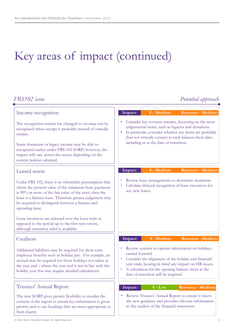#### *FRS102 issue Potential approach* Income recognition The recognition criteria has changed so revenue can be recognised when receipt is probable instead of virtually certain. Some donations or legacy income may be able to recognised earlier under FRS 102 SORP, however, the impact will vary across the sector depending on the current policies adopted. Consider key revenue streams, focussing on the most judgemental items, such as legacies and donations. In particular, consider whether any items are probable (but not virtually certain) at each balance sheet date, including as at the date of transition. **Impact: € - Medium Resource - Medium** Leased assets Under FRS 102, there is no rebuttable presumption that where the present value of the minimum lease payments is 90% or more of the fair value of the asset, then the lease is a finance lease. Therefore greater judgement may be required to distinguish between a finance and operating lease. Lease incentives are released over the lease term as opposed to the period up to the first rent review, although transition relief is available. Review lease arrangements to determine treatment. • Calculate delayed recognition of lease incentives for any new leases. **Impact: € - Medium Resource - Medium Creditors** Additional liabilities may be required for short term employee benefits such as holiday pay. For example, an accrual may be required for those holidays not taken at the year end – where the year end is not in line with the holiday year this may require detailed calculations. • Review systems to capture information on holidays carried forward. • Consider the alignment of the holiday and financial year ends, bearing in mind any impact on HR issues. • A calculation for the opening balance sheet at the date of transition will be required. **Impact: € - Medium Resource - Medium** Trustees' Annual Report The new SORP gives greater flexibility to reorder the content of the report to ensure key information is given priority and to use headings that are most appropriate to their charity. • Review Trustees' Annual Report to ensure it meets the new guidance and provides relevant information to the readers of the financial statements. **Impact: € - Low Resource - Medium**

#### © 2014 Grant Thornton Ireland. All rights reserved. 9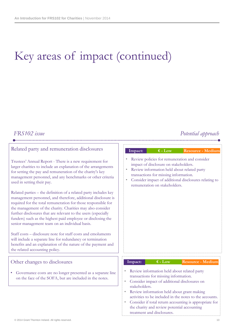### *FRS102 issue Potential approach*

### Related party and remuneration disclosures

Trustees' Annual Report - There is a new requirement for larger charities to include an explanation of the arrangements for setting the pay and remuneration of the charity's key management personnel, and any benchmarks or other criteria used in setting their pay.

Related parties – the definition of a related party includes key management personnel, and therefore, additional disclosure is required for the total remuneration for those responsible for the management of the charity. Charities may also consider further disclosures that are relevant to the users (especially funders) such as the highest paid employee or disclosing the senior management team on an individual basis.

Staff costs – disclosure note for staff costs and emoluments will include a separate line for redundancy or termination benefits and an explanation of the nature of the payment and the related accounting policy.

### Other changes to disclosures

Governance costs are no longer presented as a separate line on the face of the SOFA, but are included in the notes.

#### **Impact: € - Low Resource - Medium**

- Review policies for remuneration and consider impact of disclosure on stakeholders.
- Review information held about related party transactions for missing information.
- Consider impact of additional disclosures relating to remuneration on stakeholders.

#### **Impact: € - Low Resource - Medium**

- Review information held about related party transactions for missing information.
- Consider impact of additional disclosures on stakeholders.
- Review information held about grant making activities to be included in the notes to the accounts.
- Consider if total return accounting is appropriate for the charity and review potential accounting treatment and disclosures.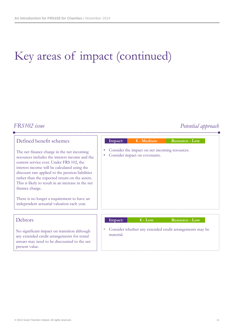### *FRS102 issue Potential approach*

The net finance charge in the net incoming resources includes the interest income and the current service cost. Under FRS 102, the interest income will be calculated using the discount rate applied to the pension liabilities rather than the expected return on the assets. This is likely to result in an increase in the net finance charge.

There is no longer a requirement to have an independent actuarial valuation each year.

#### **Debtors**

No significant impact on transition although any extended credit arrangements for rental arrears may need to be discounted to the net present value.

|                                                             | Impact: | $\epsilon$ - Medium           | <b>Resource - Low</b> |
|-------------------------------------------------------------|---------|-------------------------------|-----------------------|
| Consider the impact on net incoming resources.<br>$\bullet$ |         |                               |                       |
| $\bullet$                                                   |         | Consider impact on covenants. |                       |
|                                                             |         |                               |                       |
|                                                             |         |                               |                       |
|                                                             |         |                               |                       |
|                                                             |         |                               |                       |
|                                                             |         |                               |                       |
|                                                             |         |                               |                       |

### **Impact: € - Low Resource - Low**

• Consider whether any extended credit arrangements may be material.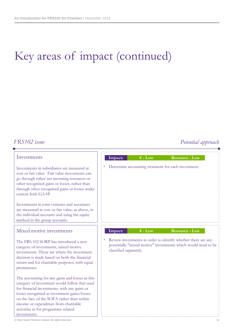## *FRS102 issue Potential approach*

### Investments

Investments in subsidiaries are measured at cost or fair value. Fair value movements can go through either net incoming resources or other recognised gains or losses, rather than through other recognised gains or losses under current Irish GAAP.

Investments in joint ventures and associates are measured at cost or fair value, as above, in the individual accounts and using the equity method in the group accounts.

### Mixed motive investments

The FRS 102 SORP has introduced a new category of investments, mixed motive investments. These are where the investment decision is made based on both the financial return and for charitable purposes, with equal prominence.

The accounting for any gains and losses in this category of investment would follow that used for financial investments, with any gains or losses recognised as investment gains/losses on the face of the SOFA rather than within income or expenditure from charitable activities as for programme related investments.



• Review investments in order to identify whether there are any potentially "mixed motive" investments which would need to be classified separately.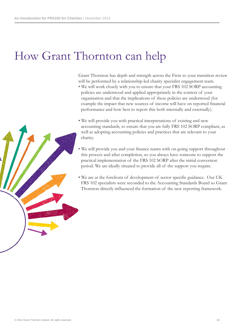## How Grant Thornton can help

Grant Thornton has depth and strength across the Firm so your transition review will be performed by a relationship-led charity specialist engagement team.

- We will work closely with you to ensure that your FRS 102 SORP accounting policies are understood and applied appropriately in the context of your organisation and that the implications of these policies are understood (for example the impact that new sources of income will have on reported financial performance and how best to report this both internally and externally).
- We will provide you with practical interpretations of existing and new accounting standards, to ensure that you are fully FRS 102 SORP compliant, as well as adopting accounting policies and practices that are relevant to your charity.
- We will provide you and your finance teams with on-going support throughout this process and after completion, so you always have someone to support the practical implementation of the FRS 102 SORP after the initial conversion period. We are ideally situated to provide all of the support you require.
- We are at the forefront of development of sector specific guidance. Our UK FRS 102 specialists were seconded to the Accounting Standards Board so Grant Thornton directly influenced the formation of the new reporting framework.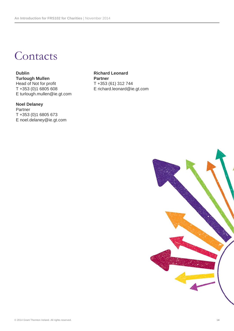Contacts

### **Dublin Richard Leonard Turlough Mullen Partner** Head of Not for profit<br>
T +353 (0)1 6805 608<br>
E richard.leonard@ie E turlough.mullen@ie.gt.com

#### **Noel Delaney** Partner T +353 (0)1 6805 673 E noel.delaney@ie.gt.com

E richard.leonard@ie.gt.com